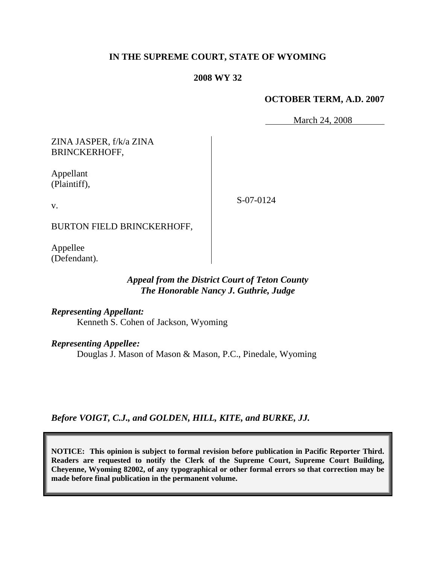### **IN THE SUPREME COURT, STATE OF WYOMING**

### **2008 WY 32**

### **OCTOBER TERM, A.D. 2007**

March 24, 2008

ZINA JASPER, f/k/a ZINA BRINCKERHOFF,

Appellant (Plaintiff),

S-07-0124

BURTON FIELD BRINCKERHOFF,

Appellee (Defendant).

## *Appeal from the District Court of Teton County The Honorable Nancy J. Guthrie, Judge*

*Representing Appellant:*

Kenneth S. Cohen of Jackson, Wyoming

*Representing Appellee:*

Douglas J. Mason of Mason & Mason, P.C., Pinedale, Wyoming

*Before VOIGT, C.J., and GOLDEN, HILL, KITE, and BURKE, JJ.*

**NOTICE: This opinion is subject to formal revision before publication in Pacific Reporter Third. Readers are requested to notify the Clerk of the Supreme Court, Supreme Court Building, Cheyenne, Wyoming 82002, of any typographical or other formal errors so that correction may be made before final publication in the permanent volume.**

v.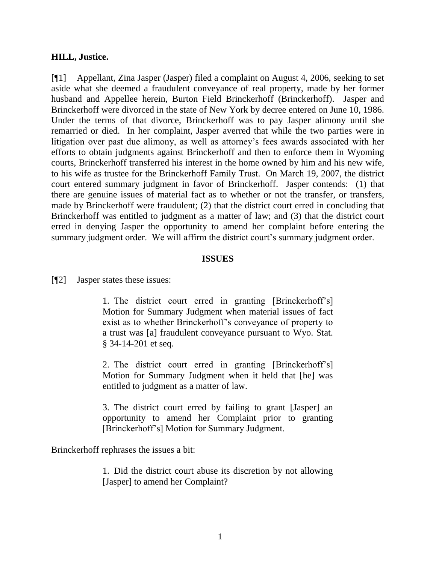### **HILL, Justice.**

[¶1] Appellant, Zina Jasper (Jasper) filed a complaint on August 4, 2006, seeking to set aside what she deemed a fraudulent conveyance of real property, made by her former husband and Appellee herein, Burton Field Brinckerhoff (Brinckerhoff). Jasper and Brinckerhoff were divorced in the state of New York by decree entered on June 10, 1986. Under the terms of that divorce, Brinckerhoff was to pay Jasper alimony until she remarried or died. In her complaint, Jasper averred that while the two parties were in litigation over past due alimony, as well as attorney's fees awards associated with her efforts to obtain judgments against Brinckerhoff and then to enforce them in Wyoming courts, Brinckerhoff transferred his interest in the home owned by him and his new wife, to his wife as trustee for the Brinckerhoff Family Trust. On March 19, 2007, the district court entered summary judgment in favor of Brinckerhoff. Jasper contends: (1) that there are genuine issues of material fact as to whether or not the transfer, or transfers, made by Brinckerhoff were fraudulent; (2) that the district court erred in concluding that Brinckerhoff was entitled to judgment as a matter of law; and (3) that the district court erred in denying Jasper the opportunity to amend her complaint before entering the summary judgment order. We will affirm the district court's summary judgment order.

#### **ISSUES**

[¶2] Jasper states these issues:

1. The district court erred in granting [Brinckerhoff's] Motion for Summary Judgment when material issues of fact exist as to whether Brinckerhoff's conveyance of property to a trust was [a] fraudulent conveyance pursuant to Wyo. Stat. § 34-14-201 et seq.

2. The district court erred in granting [Brinckerhoff's] Motion for Summary Judgment when it held that [he] was entitled to judgment as a matter of law.

3. The district court erred by failing to grant [Jasper] an opportunity to amend her Complaint prior to granting [Brinckerhoff's] Motion for Summary Judgment.

Brinckerhoff rephrases the issues a bit:

1. Did the district court abuse its discretion by not allowing [Jasper] to amend her Complaint?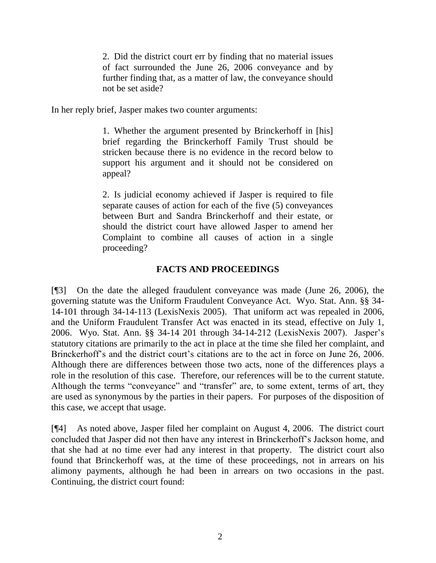2. Did the district court err by finding that no material issues of fact surrounded the June 26, 2006 conveyance and by further finding that, as a matter of law, the conveyance should not be set aside?

In her reply brief, Jasper makes two counter arguments:

1. Whether the argument presented by Brinckerhoff in [his] brief regarding the Brinckerhoff Family Trust should be stricken because there is no evidence in the record below to support his argument and it should not be considered on appeal?

2. Is judicial economy achieved if Jasper is required to file separate causes of action for each of the five (5) conveyances between Burt and Sandra Brinckerhoff and their estate, or should the district court have allowed Jasper to amend her Complaint to combine all causes of action in a single proceeding?

# **FACTS AND PROCEEDINGS**

[¶3] On the date the alleged fraudulent conveyance was made (June 26, 2006), the governing statute was the Uniform Fraudulent Conveyance Act. Wyo. Stat. Ann. §§ 34- 14-101 through 34-14-113 (LexisNexis 2005). That uniform act was repealed in 2006, and the Uniform Fraudulent Transfer Act was enacted in its stead, effective on July 1, 2006. Wyo. Stat. Ann. §§ 34-14 201 through 34-14-212 (LexisNexis 2007). Jasper's statutory citations are primarily to the act in place at the time she filed her complaint, and Brinckerhoff's and the district court's citations are to the act in force on June 26, 2006. Although there are differences between those two acts, none of the differences plays a role in the resolution of this case. Therefore, our references will be to the current statute. Although the terms "conveyance" and "transfer" are, to some extent, terms of art, they are used as synonymous by the parties in their papers. For purposes of the disposition of this case, we accept that usage.

[¶4] As noted above, Jasper filed her complaint on August 4, 2006. The district court concluded that Jasper did not then have any interest in Brinckerhoff's Jackson home, and that she had at no time ever had any interest in that property. The district court also found that Brinckerhoff was, at the time of these proceedings, not in arrears on his alimony payments, although he had been in arrears on two occasions in the past. Continuing, the district court found: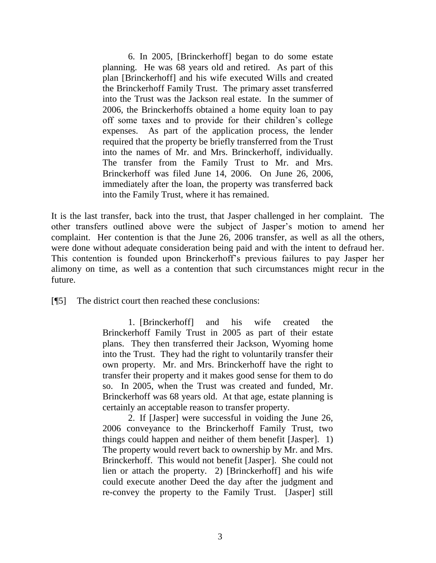6. In 2005, [Brinckerhoff] began to do some estate planning. He was 68 years old and retired. As part of this plan [Brinckerhoff] and his wife executed Wills and created the Brinckerhoff Family Trust. The primary asset transferred into the Trust was the Jackson real estate. In the summer of 2006, the Brinckerhoffs obtained a home equity loan to pay off some taxes and to provide for their children's college expenses. As part of the application process, the lender required that the property be briefly transferred from the Trust into the names of Mr. and Mrs. Brinckerhoff, individually. The transfer from the Family Trust to Mr. and Mrs. Brinckerhoff was filed June 14, 2006. On June 26, 2006, immediately after the loan, the property was transferred back into the Family Trust, where it has remained.

It is the last transfer, back into the trust, that Jasper challenged in her complaint. The other transfers outlined above were the subject of Jasper's motion to amend her complaint. Her contention is that the June 26, 2006 transfer, as well as all the others, were done without adequate consideration being paid and with the intent to defraud her. This contention is founded upon Brinckerhoff's previous failures to pay Jasper her alimony on time, as well as a contention that such circumstances might recur in the future.

[¶5] The district court then reached these conclusions:

1. [Brinckerhoff] and his wife created the Brinckerhoff Family Trust in 2005 as part of their estate plans. They then transferred their Jackson, Wyoming home into the Trust. They had the right to voluntarily transfer their own property. Mr. and Mrs. Brinckerhoff have the right to transfer their property and it makes good sense for them to do so. In 2005, when the Trust was created and funded, Mr. Brinckerhoff was 68 years old. At that age, estate planning is certainly an acceptable reason to transfer property.

2. If [Jasper] were successful in voiding the June 26, 2006 conveyance to the Brinckerhoff Family Trust, two things could happen and neither of them benefit [Jasper]. 1) The property would revert back to ownership by Mr. and Mrs. Brinckerhoff. This would not benefit [Jasper]. She could not lien or attach the property. 2) [Brinckerhoff] and his wife could execute another Deed the day after the judgment and re-convey the property to the Family Trust. [Jasper] still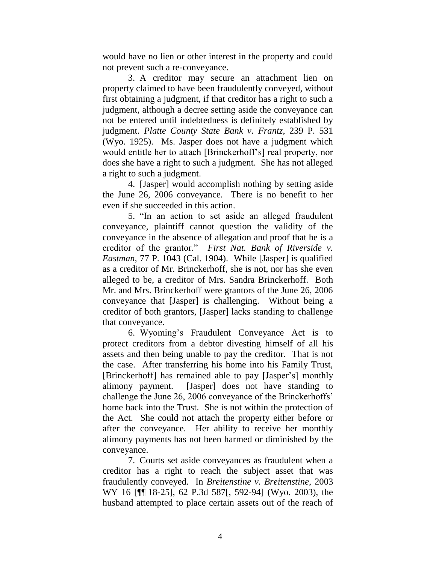would have no lien or other interest in the property and could not prevent such a re-conveyance.

3. A creditor may secure an attachment lien on property claimed to have been fraudulently conveyed, without first obtaining a judgment, if that creditor has a right to such a judgment, although a decree setting aside the conveyance can not be entered until indebtedness is definitely established by judgment. *Platte County State Bank v. Frantz*, 239 P. 531 (Wyo. 1925). Ms. Jasper does not have a judgment which would entitle her to attach [Brinckerhoff's] real property, nor does she have a right to such a judgment. She has not alleged a right to such a judgment.

4. [Jasper] would accomplish nothing by setting aside the June 26, 2006 conveyance. There is no benefit to her even if she succeeded in this action.

5. "In an action to set aside an alleged fraudulent conveyance, plaintiff cannot question the validity of the conveyance in the absence of allegation and proof that he is a creditor of the grantor." *First Nat. Bank of Riverside v. Eastman*, 77 P. 1043 (Cal. 1904). While [Jasper] is qualified as a creditor of Mr. Brinckerhoff, she is not, nor has she even alleged to be, a creditor of Mrs. Sandra Brinckerhoff. Both Mr. and Mrs. Brinckerhoff were grantors of the June 26, 2006 conveyance that [Jasper] is challenging. Without being a creditor of both grantors, [Jasper] lacks standing to challenge that conveyance.

6. Wyoming's Fraudulent Conveyance Act is to protect creditors from a debtor divesting himself of all his assets and then being unable to pay the creditor. That is not the case. After transferring his home into his Family Trust, [Brinckerhoff] has remained able to pay [Jasper's] monthly alimony payment. [Jasper] does not have standing to challenge the June 26, 2006 conveyance of the Brinckerhoffs' home back into the Trust. She is not within the protection of the Act. She could not attach the property either before or after the conveyance. Her ability to receive her monthly alimony payments has not been harmed or diminished by the conveyance.

7. Courts set aside conveyances as fraudulent when a creditor has a right to reach the subject asset that was fraudulently conveyed. In *Breitenstine v. Breitenstine*, 2003 WY 16 [¶¶ 18-25], 62 P.3d 587[, 592-94] (Wyo. 2003), the husband attempted to place certain assets out of the reach of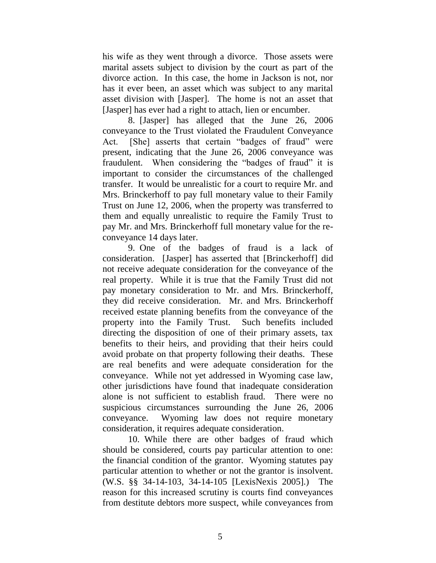his wife as they went through a divorce. Those assets were marital assets subject to division by the court as part of the divorce action. In this case, the home in Jackson is not, nor has it ever been, an asset which was subject to any marital asset division with [Jasper]. The home is not an asset that [Jasper] has ever had a right to attach, lien or encumber.

8. [Jasper] has alleged that the June 26, 2006 conveyance to the Trust violated the Fraudulent Conveyance Act. [She] asserts that certain "badges of fraud" were present, indicating that the June 26, 2006 conveyance was fraudulent. When considering the "badges of fraud" it is important to consider the circumstances of the challenged transfer. It would be unrealistic for a court to require Mr. and Mrs. Brinckerhoff to pay full monetary value to their Family Trust on June 12, 2006, when the property was transferred to them and equally unrealistic to require the Family Trust to pay Mr. and Mrs. Brinckerhoff full monetary value for the reconveyance 14 days later.

9. One of the badges of fraud is a lack of consideration. [Jasper] has asserted that [Brinckerhoff] did not receive adequate consideration for the conveyance of the real property. While it is true that the Family Trust did not pay monetary consideration to Mr. and Mrs. Brinckerhoff, they did receive consideration. Mr. and Mrs. Brinckerhoff received estate planning benefits from the conveyance of the property into the Family Trust. Such benefits included directing the disposition of one of their primary assets, tax benefits to their heirs, and providing that their heirs could avoid probate on that property following their deaths. These are real benefits and were adequate consideration for the conveyance. While not yet addressed in Wyoming case law, other jurisdictions have found that inadequate consideration alone is not sufficient to establish fraud. There were no suspicious circumstances surrounding the June 26, 2006 conveyance. Wyoming law does not require monetary consideration, it requires adequate consideration.

10. While there are other badges of fraud which should be considered, courts pay particular attention to one: the financial condition of the grantor. Wyoming statutes pay particular attention to whether or not the grantor is insolvent. (W.S. §§ 34-14-103, 34-14-105 [LexisNexis 2005].) The reason for this increased scrutiny is courts find conveyances from destitute debtors more suspect, while conveyances from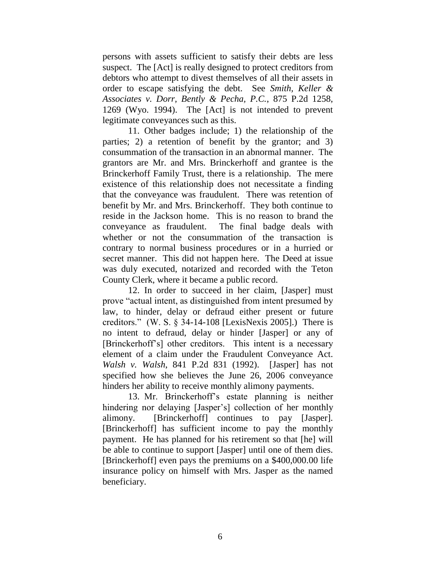persons with assets sufficient to satisfy their debts are less suspect. The [Act] is really designed to protect creditors from debtors who attempt to divest themselves of all their assets in order to escape satisfying the debt. See *Smith, Keller & Associates v. Dorr, Bently & Pecha, P.C.*, 875 P.2d 1258, 1269 (Wyo. 1994). The [Act] is not intended to prevent legitimate conveyances such as this.

11. Other badges include; 1) the relationship of the parties; 2) a retention of benefit by the grantor; and 3) consummation of the transaction in an abnormal manner. The grantors are Mr. and Mrs. Brinckerhoff and grantee is the Brinckerhoff Family Trust, there is a relationship. The mere existence of this relationship does not necessitate a finding that the conveyance was fraudulent. There was retention of benefit by Mr. and Mrs. Brinckerhoff. They both continue to reside in the Jackson home. This is no reason to brand the conveyance as fraudulent. The final badge deals with whether or not the consummation of the transaction is contrary to normal business procedures or in a hurried or secret manner. This did not happen here. The Deed at issue was duly executed, notarized and recorded with the Teton County Clerk, where it became a public record.

12. In order to succeed in her claim, [Jasper] must prove "actual intent, as distinguished from intent presumed by law, to hinder, delay or defraud either present or future creditors." (W. S. § 34-14-108 [LexisNexis 2005].) There is no intent to defraud, delay or hinder [Jasper] or any of [Brinckerhoff's] other creditors. This intent is a necessary element of a claim under the Fraudulent Conveyance Act. *Walsh v. Walsh*, 841 P.2d 831 (1992). [Jasper] has not specified how she believes the June 26, 2006 conveyance hinders her ability to receive monthly alimony payments.

13. Mr. Brinckerhoff's estate planning is neither hindering nor delaying [Jasper's] collection of her monthly alimony. [Brinckerhoff] continues to pay [Jasper]. [Brinckerhoff] has sufficient income to pay the monthly payment. He has planned for his retirement so that [he] will be able to continue to support [Jasper] until one of them dies. [Brinckerhoff] even pays the premiums on a \$400,000.00 life insurance policy on himself with Mrs. Jasper as the named beneficiary.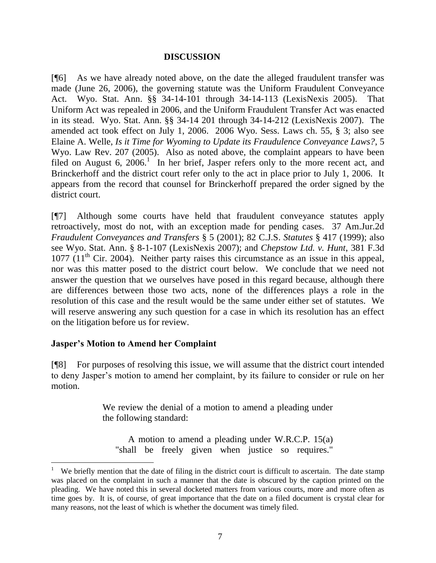## **DISCUSSION**

[¶6] As we have already noted above, on the date the alleged fraudulent transfer was made (June 26, 2006), the governing statute was the Uniform Fraudulent Conveyance Act. Wyo. Stat. Ann. §§ 34-14-101 through 34-14-113 (LexisNexis 2005). That Uniform Act was repealed in 2006, and the Uniform Fraudulent Transfer Act was enacted in its stead. Wyo. Stat. Ann. §§ 34-14 201 through 34-14-212 (LexisNexis 2007). The amended act took effect on July 1, 2006. 2006 Wyo. Sess. Laws ch. 55, § 3; also see Elaine A. Welle, *Is it Time for Wyoming to Update its Fraudulence Conveyance Laws?*, 5 Wyo. Law Rev. 207 (2005). Also as noted above, the complaint appears to have been filed on August 6, 2006.<sup>1</sup> In her brief, Jasper refers only to the more recent act, and Brinckerhoff and the district court refer only to the act in place prior to July 1, 2006. It appears from the record that counsel for Brinckerhoff prepared the order signed by the district court.

[¶7] Although some courts have held that fraudulent conveyance statutes apply retroactively, most do not, with an exception made for pending cases. 37 Am.Jur.2d *Fraudulent Conveyances and Transfers* § 5 (2001); 82 C.J.S. *Statutes* § 417 (1999); also see Wyo. Stat. Ann. § 8-1-107 (LexisNexis 2007); and *Chepstow Ltd. v. Hunt*, 381 F.3d  $1077$  ( $11<sup>th</sup>$  Cir. 2004). Neither party raises this circumstance as an issue in this appeal, nor was this matter posed to the district court below. We conclude that we need not answer the question that we ourselves have posed in this regard because, although there are differences between those two acts, none of the differences plays a role in the resolution of this case and the result would be the same under either set of statutes. We will reserve answering any such question for a case in which its resolution has an effect on the litigation before us for review.

# **Jasper's Motion to Amend her Complaint**

[¶8] For purposes of resolving this issue, we will assume that the district court intended to deny Jasper's motion to amend her complaint, by its failure to consider or rule on her motion.

> We review the denial of a motion to amend a pleading under the following standard:

A motion to amend a pleading under W.R.C.P. 15(a) "shall be freely given when justice so requires."

<sup>1</sup> We briefly mention that the date of filing in the district court is difficult to ascertain. The date stamp was placed on the complaint in such a manner that the date is obscured by the caption printed on the pleading. We have noted this in several docketed matters from various courts, more and more often as time goes by. It is, of course, of great importance that the date on a filed document is crystal clear for many reasons, not the least of which is whether the document was timely filed.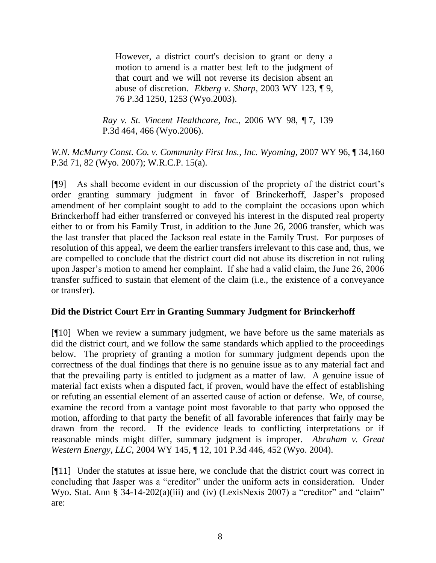However, a district court's decision to grant or deny a motion to amend is a matter best left to the judgment of that court and we will not reverse its decision absent an abuse of discretion. *Ekberg v. Sharp*, 2003 WY 123, ¶ 9, 76 P.3d 1250, 1253 (Wyo.2003).

*Ray v. St. Vincent Healthcare, Inc.*, 2006 WY 98, ¶ 7, 139 P.3d 464, 466 (Wyo.2006).

*W.N. McMurry Const. Co. v. Community First Ins., Inc. Wyoming*, 2007 WY 96, ¶ 34,160 P.3d 71, 82 (Wyo. 2007); W.R.C.P. 15(a).

[¶9] As shall become evident in our discussion of the propriety of the district court's order granting summary judgment in favor of Brinckerhoff, Jasper's proposed amendment of her complaint sought to add to the complaint the occasions upon which Brinckerhoff had either transferred or conveyed his interest in the disputed real property either to or from his Family Trust, in addition to the June 26, 2006 transfer, which was the last transfer that placed the Jackson real estate in the Family Trust. For purposes of resolution of this appeal, we deem the earlier transfers irrelevant to this case and, thus, we are compelled to conclude that the district court did not abuse its discretion in not ruling upon Jasper's motion to amend her complaint. If she had a valid claim, the June 26, 2006 transfer sufficed to sustain that element of the claim (i.e., the existence of a conveyance or transfer).

# **Did the District Court Err in Granting Summary Judgment for Brinckerhoff**

[¶10] When we review a summary judgment, we have before us the same materials as did the district court, and we follow the same standards which applied to the proceedings below. The propriety of granting a motion for summary judgment depends upon the correctness of the dual findings that there is no genuine issue as to any material fact and that the prevailing party is entitled to judgment as a matter of law. A genuine issue of material fact exists when a disputed fact, if proven, would have the effect of establishing or refuting an essential element of an asserted cause of action or defense. We, of course, examine the record from a vantage point most favorable to that party who opposed the motion, affording to that party the benefit of all favorable inferences that fairly may be drawn from the record. If the evidence leads to conflicting interpretations or if reasonable minds might differ, summary judgment is improper. *Abraham v. Great Western Energy, LLC*, 2004 WY 145, ¶ 12, 101 P.3d 446, 452 (Wyo. 2004).

[¶11] Under the statutes at issue here, we conclude that the district court was correct in concluding that Jasper was a "creditor" under the uniform acts in consideration. Under Wyo. Stat. Ann § 34-14-202(a)(iii) and (iv) (LexisNexis 2007) a "creditor" and "claim" are: